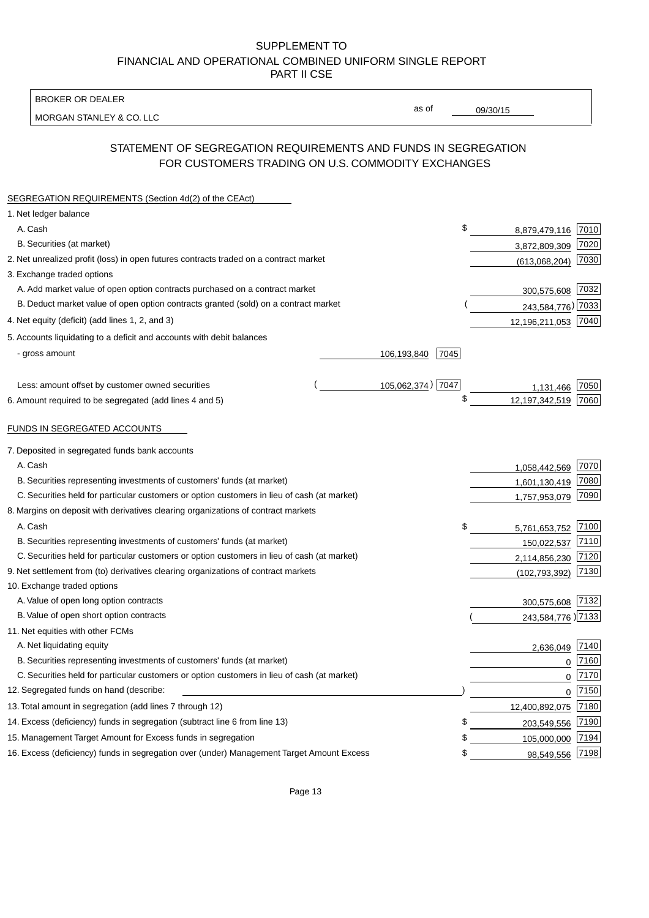BROKER OR DEALER

MORGAN STANLEY & CO. LLC

09/30/15

as of

# STATEMENT OF SEGREGATION REQUIREMENTS AND FUNDS IN SEGREGATION FOR CUSTOMERS TRADING ON U.S. COMMODITY EXCHANGES

| SEGREGATION REQUIREMENTS (Section 4d(2) of the CEAct)                                       |                     |                     |                     |
|---------------------------------------------------------------------------------------------|---------------------|---------------------|---------------------|
| 1. Net ledger balance                                                                       |                     |                     |                     |
| A. Cash                                                                                     | \$                  | 8,879,479,116       | 7010                |
| B. Securities (at market)                                                                   |                     | 3,872,809,309       | 7020                |
| 2. Net unrealized profit (loss) in open futures contracts traded on a contract market       |                     | (613,068,204)       | 7030                |
| 3. Exchange traded options                                                                  |                     |                     |                     |
| A. Add market value of open option contracts purchased on a contract market                 |                     | 300,575,608         | 7032                |
| B. Deduct market value of open option contracts granted (sold) on a contract market         |                     | 243,584,776) 7033   |                     |
| 4. Net equity (deficit) (add lines 1, 2, and 3)                                             |                     | 12,196,211,053 7040 |                     |
| 5. Accounts liquidating to a deficit and accounts with debit balances                       |                     |                     |                     |
| - gross amount                                                                              | 7045<br>106,193,840 |                     |                     |
|                                                                                             |                     |                     |                     |
| Less: amount offset by customer owned securities                                            | 105,062,374) 7047   | 1,131,466           | 7050                |
| 6. Amount required to be segregated (add lines 4 and 5)                                     | \$                  | 12,197,342,519      | 7060                |
|                                                                                             |                     |                     |                     |
| FUNDS IN SEGREGATED ACCOUNTS                                                                |                     |                     |                     |
| 7. Deposited in segregated funds bank accounts                                              |                     |                     |                     |
| A. Cash                                                                                     |                     | 1,058,442,569       | 7070                |
| B. Securities representing investments of customers' funds (at market)                      |                     | 1,601,130,419       | 7080                |
| C. Securities held for particular customers or option customers in lieu of cash (at market) |                     | 1,757,953,079       | 7090                |
| 8. Margins on deposit with derivatives clearing organizations of contract markets           |                     |                     |                     |
| A. Cash                                                                                     | \$                  | 5,761,653,752       | 7100                |
| B. Securities representing investments of customers' funds (at market)                      |                     | 150,022,537         | 7110                |
| C. Securities held for particular customers or option customers in lieu of cash (at market) |                     | 2,114,856,230       | 7120                |
| 9. Net settlement from (to) derivatives clearing organizations of contract markets          |                     | (102, 793, 392)     | 7130                |
| 10. Exchange traded options                                                                 |                     |                     |                     |
| A. Value of open long option contracts                                                      |                     | 300,575,608         | 7132                |
| B. Value of open short option contracts                                                     |                     | 243,584,776 2133    |                     |
| 11. Net equities with other FCMs                                                            |                     |                     |                     |
| A. Net liquidating equity                                                                   |                     | 2,636,049           | 7140                |
| B. Securities representing investments of customers' funds (at market)                      |                     |                     | 7160<br>$\Omega$    |
| C. Securities held for particular customers or option customers in lieu of cash (at market) |                     |                     | 7170<br>$\mathbf 0$ |
| 12. Segregated funds on hand (describe:                                                     |                     |                     | 7150<br>$\mathbf 0$ |
| 13. Total amount in segregation (add lines 7 through 12)                                    |                     | 12,400,892,075      | 7180                |
| 14. Excess (deficiency) funds in segregation (subtract line 6 from line 13)                 | \$                  | 203,549,556         | 7190                |
| 15. Management Target Amount for Excess funds in segregation                                | \$                  | 105,000,000         | 7194                |
| 16. Excess (deficiency) funds in segregation over (under) Management Target Amount Excess   | \$                  | 98,549,556          | 7198                |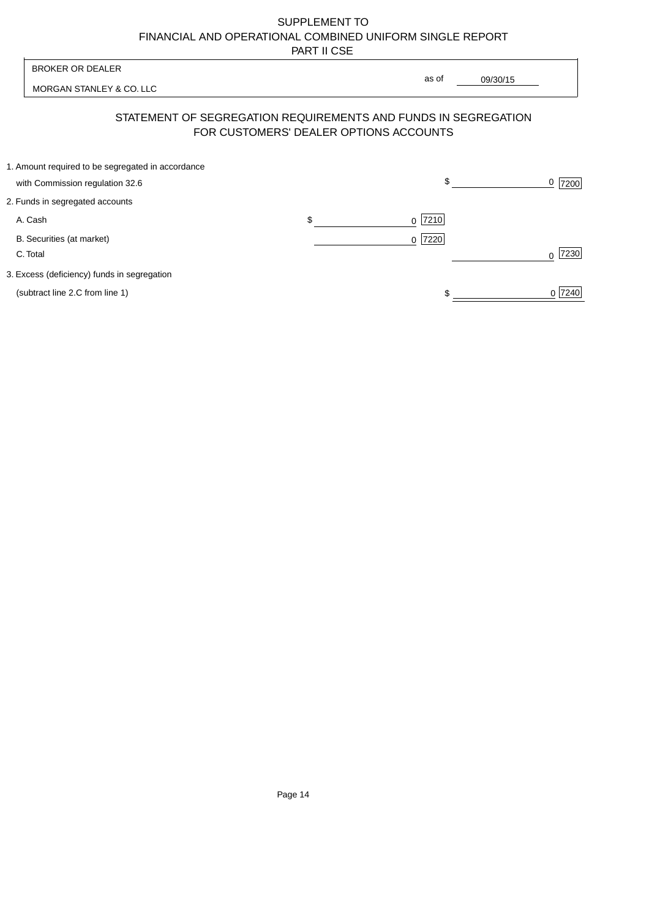| <b>BROKER OR DEALER</b>                                                                                  |                    | as of |          |                  |
|----------------------------------------------------------------------------------------------------------|--------------------|-------|----------|------------------|
| MORGAN STANLEY & CO. LLC                                                                                 |                    |       | 09/30/15 |                  |
| STATEMENT OF SEGREGATION REQUIREMENTS AND FUNDS IN SEGREGATION<br>FOR CUSTOMERS' DEALER OPTIONS ACCOUNTS |                    |       |          |                  |
| 1. Amount required to be segregated in accordance<br>with Commission regulation 32.6                     |                    | \$    |          | 0<br>7200        |
| 2. Funds in segregated accounts                                                                          |                    |       |          |                  |
| A. Cash                                                                                                  | \$<br><sup>0</sup> | 7210  |          |                  |
| B. Securities (at market)<br>C. Total                                                                    | $0$  7220          |       |          | 7230<br>$\Omega$ |
| 3. Excess (deficiency) funds in segregation                                                              |                    |       |          |                  |
| (subtract line 2.C from line 1)                                                                          |                    |       |          | 0 7240           |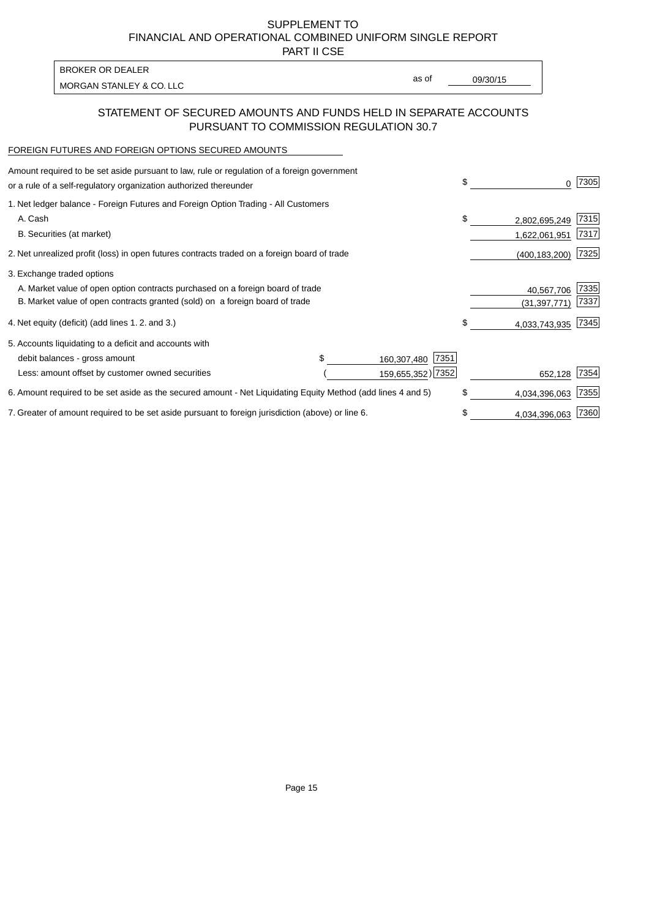PART II CSE

| <b>BROKER OR DEALER</b>  |       |          |
|--------------------------|-------|----------|
|                          | as of | 09/30/15 |
| MORGAN STANLEY & CO. LLC |       |          |

### STATEMENT OF SECURED AMOUNTS AND FUNDS HELD IN SEPARATE ACCOUNTS PURSUANT TO COMMISSION REGULATION 30.7

#### FOREIGN FUTURES AND FOREIGN OPTIONS SECURED AMOUNTS

| Amount required to be set aside pursuant to law, rule or regulation of a foreign government<br>or a rule of a self-regulatory organization authorized thereunder |  |                     | \$  | O.              | 7305 |
|------------------------------------------------------------------------------------------------------------------------------------------------------------------|--|---------------------|-----|-----------------|------|
| 1. Net ledger balance - Foreign Futures and Foreign Option Trading - All Customers                                                                               |  |                     |     |                 |      |
| A. Cash                                                                                                                                                          |  |                     | \$  | 2,802,695,249   | 7315 |
| B. Securities (at market)                                                                                                                                        |  |                     |     | 1,622,061,951   | 7317 |
| 2. Net unrealized profit (loss) in open futures contracts traded on a foreign board of trade                                                                     |  |                     |     | (400, 183, 200) | 7325 |
| 3. Exchange traded options                                                                                                                                       |  |                     |     |                 |      |
| A. Market value of open option contracts purchased on a foreign board of trade                                                                                   |  |                     |     | 40,567,706      | 7335 |
| B. Market value of open contracts granted (sold) on a foreign board of trade                                                                                     |  |                     |     | (31,397,771)    | 7337 |
| 4. Net equity (deficit) (add lines 1.2. and 3.)                                                                                                                  |  |                     | \$  | 4,033,743,935   | 7345 |
| 5. Accounts liquidating to a deficit and accounts with                                                                                                           |  |                     |     |                 |      |
| debit balances - gross amount                                                                                                                                    |  | 7351<br>160,307,480 |     |                 |      |
| Less: amount offset by customer owned securities                                                                                                                 |  | 159,655,352) 7352   |     | 652,128         | 7354 |
| 6. Amount required to be set aside as the secured amount - Net Liquidating Equity Method (add lines 4 and 5)                                                     |  |                     | \$. | 4,034,396,063   | 7355 |
| 7. Greater of amount required to be set aside pursuant to foreign jurisdiction (above) or line 6.                                                                |  |                     | \$  | 4,034,396,063   | 7360 |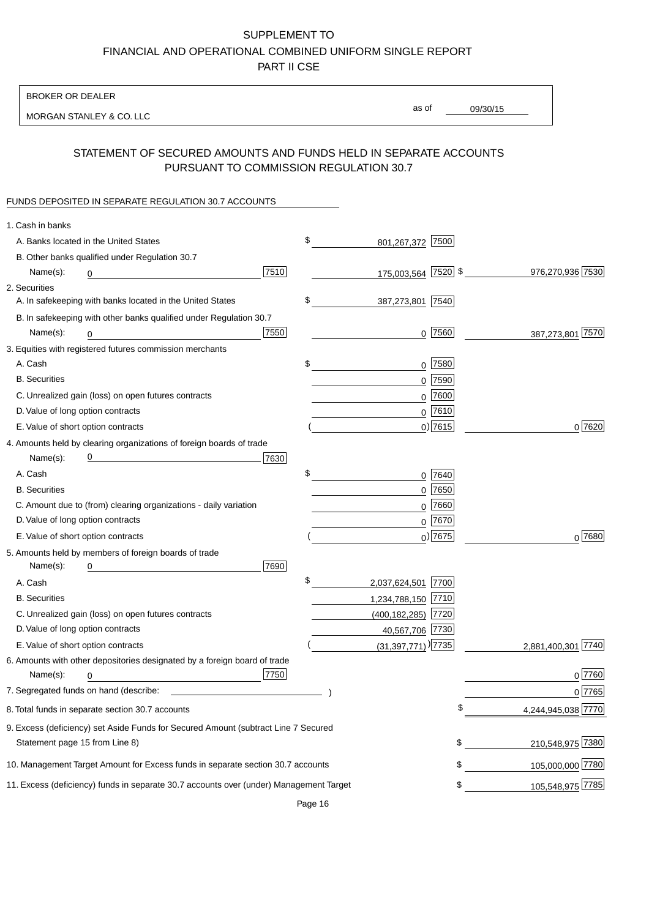BROKER OR DEALER

MORGAN STANLEY & CO. LLC

09/30/15 as of

## STATEMENT OF SECURED AMOUNTS AND FUNDS HELD IN SEPARATE ACCOUNTS PURSUANT TO COMMISSION REGULATION 30.7

#### FUNDS DEPOSITED IN SEPARATE REGULATION 30.7 ACCOUNTS

| 1. Cash in banks                                                                       |                                  |      |                    |
|----------------------------------------------------------------------------------------|----------------------------------|------|--------------------|
| A. Banks located in the United States                                                  | \$<br>801,267,372 7500           |      |                    |
| B. Other banks qualified under Regulation 30.7                                         |                                  |      |                    |
| 7510<br>Name(s):<br>0                                                                  | 175,003,564 7520 \$              |      | 976,270,936 7530   |
| 2. Securities                                                                          |                                  |      |                    |
| A. In safekeeping with banks located in the United States                              | \$<br>387,273,801 7540           |      |                    |
| B. In safekeeping with other banks qualified under Regulation 30.7                     |                                  |      |                    |
| 7550<br>Name(s):<br>0                                                                  | $0$  7560                        |      | 387,273,801 7570   |
| 3. Equities with registered futures commission merchants                               |                                  |      |                    |
| A. Cash                                                                                | \$<br>$0$ 7580                   |      |                    |
| <b>B.</b> Securities                                                                   | $0$ 7590                         |      |                    |
| C. Unrealized gain (loss) on open futures contracts                                    | 0                                | 7600 |                    |
| D. Value of long option contracts                                                      | $0$ 7610                         |      |                    |
| E. Value of short option contracts                                                     | $0$ ) 7615                       |      | 0 7620             |
| 4. Amounts held by clearing organizations of foreign boards of trade                   |                                  |      |                    |
| <u> 1980 - Johann Barn, mars an t-Amerikaansk kommunister (</u><br>7630<br>Name(s):    |                                  |      |                    |
| A. Cash                                                                                | \$<br>0 7640                     |      |                    |
| <b>B.</b> Securities                                                                   | $0$ 7650                         |      |                    |
| C. Amount due to (from) clearing organizations - daily variation                       | $0$ 7660                         |      |                    |
| D. Value of long option contracts                                                      | $0$ 7670                         |      |                    |
| E. Value of short option contracts                                                     | $_0$ ) 7675                      |      | $0^{7680}$         |
| 5. Amounts held by members of foreign boards of trade                                  |                                  |      |                    |
| 7690<br>Name(s):<br>0                                                                  |                                  |      |                    |
| A. Cash                                                                                | \$<br>2,037,624,501 7700         |      |                    |
| <b>B.</b> Securities                                                                   | 1,234,788,150 7710               |      |                    |
| C. Unrealized gain (loss) on open futures contracts                                    | $(400, 182, 285)$ 7720           |      |                    |
| D. Value of long option contracts                                                      | 40,567,706 7730                  |      |                    |
| E. Value of short option contracts                                                     | $(31,397,771)$ <sup>)</sup> 7735 |      | 2,881,400,301 7740 |
| 6. Amounts with other depositories designated by a foreign board of trade              |                                  |      |                    |
| 7750<br>Name(s):<br>0                                                                  |                                  |      | 0 7760             |
|                                                                                        |                                  |      | 0 7765             |
| 8. Total funds in separate section 30.7 accounts                                       |                                  | ¢    | 4,244,945,038 7770 |
| 9. Excess (deficiency) set Aside Funds for Secured Amount (subtract Line 7 Secured     |                                  |      |                    |
| Statement page 15 from Line 8)                                                         |                                  | \$   | 210,548,975 7380   |
| 10. Management Target Amount for Excess funds in separate section 30.7 accounts        |                                  | \$   | 105,000,000 7780   |
| 11. Excess (deficiency) funds in separate 30.7 accounts over (under) Management Target |                                  | \$   | 105,548,975 7785   |